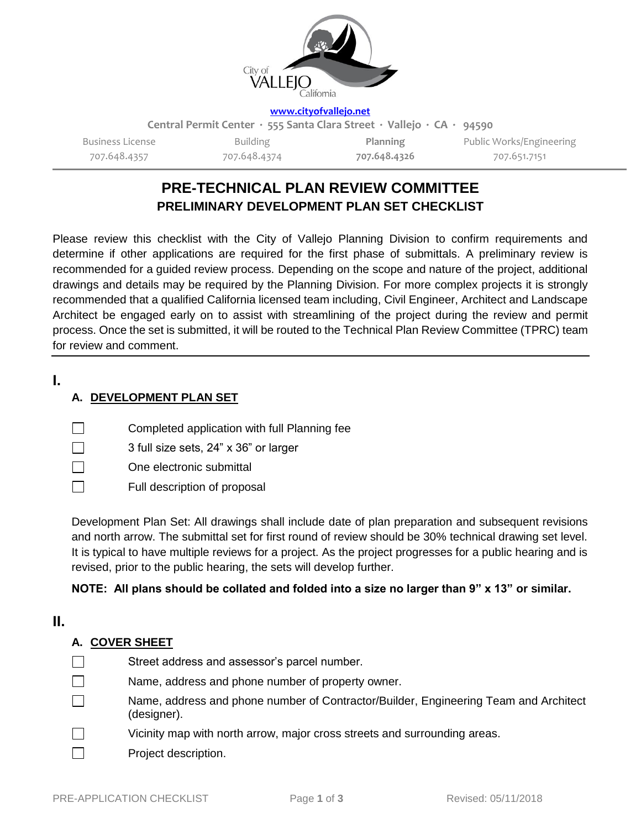

**[www.cityofvallejo.net](http://www.cityofvallejo.net/)**

**Central Permit Center ∙ 555 Santa Clara Street ∙ Vallejo ∙ CA ∙ 94590**

Business License 707.648.4357

Building 707.648.4374

**Planning 707.648.4326** Public Works/Engineering 707.651.7151

# **PRE-TECHNICAL PLAN REVIEW COMMITTEE PRELIMINARY DEVELOPMENT PLAN SET CHECKLIST**

Please review this checklist with the City of Vallejo Planning Division to confirm requirements and determine if other applications are required for the first phase of submittals. A preliminary review is recommended for a guided review process. Depending on the scope and nature of the project, additional drawings and details may be required by the Planning Division. For more complex projects it is strongly recommended that a qualified California licensed team including, Civil Engineer, Architect and Landscape Architect be engaged early on to assist with streamlining of the project during the review and permit process. Once the set is submitted, it will be routed to the Technical Plan Review Committee (TPRC) team for review and comment.

## **I.**

## **A. DEVELOPMENT PLAN SET**

- $\mathbb{R}^n$ Completed application with full Planning fee
- П 3 full size sets, 24" x 36" or larger
- One electronic submittal П
- $\Box$ Full description of proposal

Development Plan Set: All drawings shall include date of plan preparation and subsequent revisions and north arrow. The submittal set for first round of review should be 30% technical drawing set level. It is typical to have multiple reviews for a project. As the project progresses for a public hearing and is revised, prior to the public hearing, the sets will develop further.

## **NOTE: All plans should be collated and folded into a size no larger than 9" x 13" or similar.**

## **II.**

## **A. COVER SHEET**

- $\Box$ Street address and assessor's parcel number. П Name, address and phone number of property owner. Name, address and phone number of Contractor/Builder, Engineering Team and Architect  $\Box$ (designer).
- П Vicinity map with north arrow, major cross streets and surrounding areas.
- П Project description.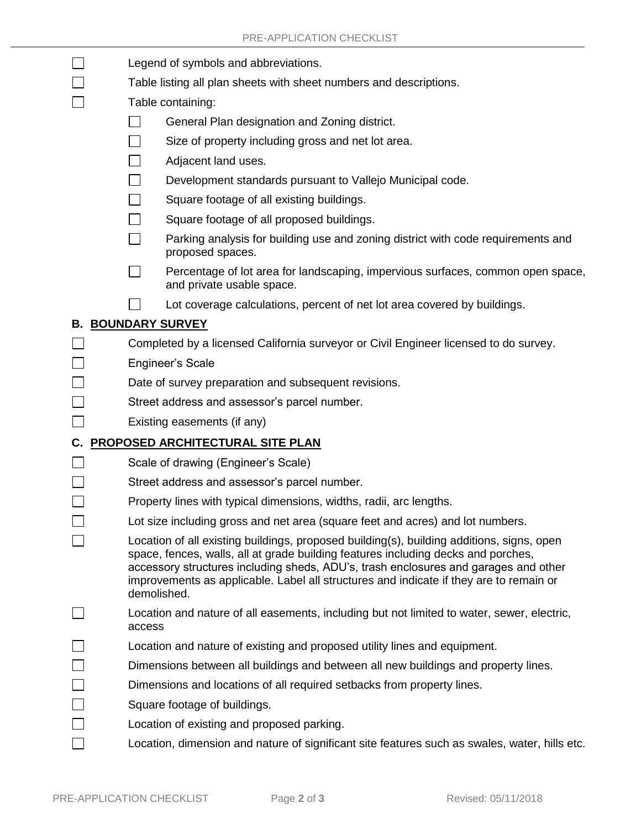|    | Legend of symbols and abbreviations.                                                                                                                                                                                                                                                                                                                                           |
|----|--------------------------------------------------------------------------------------------------------------------------------------------------------------------------------------------------------------------------------------------------------------------------------------------------------------------------------------------------------------------------------|
|    | Table listing all plan sheets with sheet numbers and descriptions.                                                                                                                                                                                                                                                                                                             |
|    | Table containing:                                                                                                                                                                                                                                                                                                                                                              |
|    | General Plan designation and Zoning district.                                                                                                                                                                                                                                                                                                                                  |
|    | Size of property including gross and net lot area.                                                                                                                                                                                                                                                                                                                             |
|    | Adjacent land uses.                                                                                                                                                                                                                                                                                                                                                            |
|    | Development standards pursuant to Vallejo Municipal code.                                                                                                                                                                                                                                                                                                                      |
|    | Square footage of all existing buildings.                                                                                                                                                                                                                                                                                                                                      |
|    | Square footage of all proposed buildings.                                                                                                                                                                                                                                                                                                                                      |
|    | Parking analysis for building use and zoning district with code requirements and<br>proposed spaces.                                                                                                                                                                                                                                                                           |
|    | Percentage of lot area for landscaping, impervious surfaces, common open space,<br>and private usable space.                                                                                                                                                                                                                                                                   |
|    | Lot coverage calculations, percent of net lot area covered by buildings.                                                                                                                                                                                                                                                                                                       |
|    | <b>B. BOUNDARY SURVEY</b>                                                                                                                                                                                                                                                                                                                                                      |
|    | Completed by a licensed California surveyor or Civil Engineer licensed to do survey.                                                                                                                                                                                                                                                                                           |
|    | <b>Engineer's Scale</b>                                                                                                                                                                                                                                                                                                                                                        |
|    | Date of survey preparation and subsequent revisions.                                                                                                                                                                                                                                                                                                                           |
|    | Street address and assessor's parcel number.                                                                                                                                                                                                                                                                                                                                   |
|    | Existing easements (if any)                                                                                                                                                                                                                                                                                                                                                    |
| C. | <b>PROPOSED ARCHITECTURAL SITE PLAN</b>                                                                                                                                                                                                                                                                                                                                        |
|    | Scale of drawing (Engineer's Scale)                                                                                                                                                                                                                                                                                                                                            |
|    | Street address and assessor's parcel number.                                                                                                                                                                                                                                                                                                                                   |
|    | Property lines with typical dimensions, widths, radii, arc lengths.                                                                                                                                                                                                                                                                                                            |
|    | Lot size including gross and net area (square feet and acres) and lot numbers.                                                                                                                                                                                                                                                                                                 |
|    | Location of all existing buildings, proposed building(s), building additions, signs, open<br>space, fences, walls, all at grade building features including decks and porches,<br>accessory structures including sheds, ADU's, trash enclosures and garages and other<br>improvements as applicable. Label all structures and indicate if they are to remain or<br>demolished. |
|    | Location and nature of all easements, including but not limited to water, sewer, electric,<br>access                                                                                                                                                                                                                                                                           |
|    | Location and nature of existing and proposed utility lines and equipment.                                                                                                                                                                                                                                                                                                      |
|    | Dimensions between all buildings and between all new buildings and property lines.                                                                                                                                                                                                                                                                                             |
|    | Dimensions and locations of all required setbacks from property lines.                                                                                                                                                                                                                                                                                                         |
|    | Square footage of buildings.                                                                                                                                                                                                                                                                                                                                                   |
|    | Location of existing and proposed parking.                                                                                                                                                                                                                                                                                                                                     |
|    | Location, dimension and nature of significant site features such as swales, water, hills etc.                                                                                                                                                                                                                                                                                  |